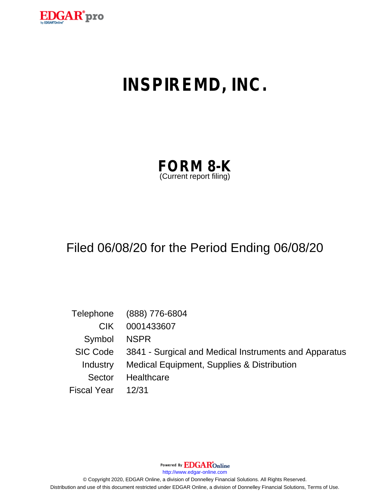

# **INSPIREMD, INC.**

| <b>FORM 8-K</b>         |  |
|-------------------------|--|
| (Current report filing) |  |

## Filed 06/08/20 for the Period Ending 06/08/20

|                    | Telephone (888) 776-6804                                       |  |
|--------------------|----------------------------------------------------------------|--|
| CIK.               | 0001433607                                                     |  |
| Symbol NSPR        |                                                                |  |
|                    | SIC Code 3841 - Surgical and Medical Instruments and Apparatus |  |
|                    | Industry Medical Equipment, Supplies & Distribution            |  |
| Sector             | Healthcare                                                     |  |
| Fiscal Year  12/31 |                                                                |  |

Powered By **EDGAR**Online

http://www.edgar-online.com

© Copyright 2020, EDGAR Online, a division of Donnelley Financial Solutions. All Rights Reserved. Distribution and use of this document restricted under EDGAR Online, a division of Donnelley Financial Solutions, Terms of Use.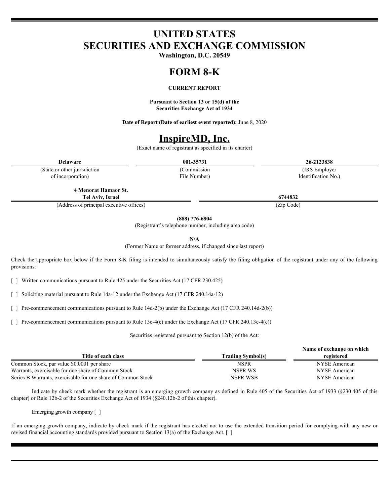## **UNITED STATES SECURITIES AND EXCHANGE COMMISSION**

**Washington, D.C. 20549**

#### **FORM 8-K**

#### **CURRENT REPORT**

**Pursuant to Section 13 or 15(d) of the Securities Exchange Act of 1934**

**Date of Report (Date of earliest event reported):** June 8, 2020

## **InspireMD, Inc.**

(Exact name of registrant as specified in its charter)

(State or other jurisdiction of incorporation)

File Number)

**Delaware 001-35731 26-2123838** (Commission (IRS Employer Identification No.)

**4 Menorat Hamaor St. Tel Aviv, Israel 6744832**

(Address of principal executive offices) (Zip Code)

**(888) 776-6804**

(Registrant's telephone number, including area code)

**N/A**

(Former Name or former address, if changed since last report)

Check the appropriate box below if the Form 8-K filing is intended to simultaneously satisfy the filing obligation of the registrant under any of the following provisions:

[ ] Written communications pursuant to Rule 425 under the Securities Act (17 CFR 230.425)

[ ] Soliciting material pursuant to Rule 14a-12 under the Exchange Act (17 CFR 240.14a-12)

[ ] Pre-commencement communications pursuant to Rule 14d-2(b) under the Exchange Act (17 CFR 240.14d-2(b))

[ ] Pre-commencement communications pursuant to Rule 13e-4(c) under the Exchange Act (17 CFR 240.13e-4(c))

Securities registered pursuant to Section 12(b) of the Act:

|                                                              | Name of exchange on which |               |
|--------------------------------------------------------------|---------------------------|---------------|
| Title of each class                                          | <b>Trading Symbol(s)</b>  | registered    |
| Common Stock, par value \$0.0001 per share                   | <b>NSPR</b>               | NYSE American |
| Warrants, exercisable for one share of Common Stock          | NSPR.WS                   | NYSE American |
| Series B Warrants, exercisable for one share of Common Stock | NSPR.WSB                  | NYSE American |
|                                                              |                           |               |

Indicate by check mark whether the registrant is an emerging growth company as defined in Rule 405 of the Securities Act of 1933 (§230.405 of this chapter) or Rule 12b-2 of the Securities Exchange Act of 1934 (§240.12b-2 of this chapter).

Emerging growth company [ ]

If an emerging growth company, indicate by check mark if the registrant has elected not to use the extended transition period for complying with any new or revised financial accounting standards provided pursuant to Section 13(a) of the Exchange Act.  $\lceil \ \rceil$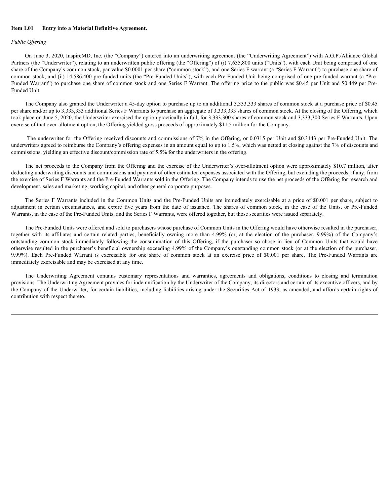#### **Item 1.01 Entry into a Material Definitive Agreement.**

### *Public Offering*

On June 3, 2020, InspireMD, Inc. (the "Company") entered into an underwriting agreement (the "Underwriting Agreement") with A.G.P./Alliance Global Partners (the "Underwriter"), relating to an underwritten public offering (the "Offering") of (i) 7,635,800 units ("Units"), with each Unit being comprised of one share of the Company's common stock, par value \$0.0001 per share ("common stock"), and one Series F warrant (a "Series F Warrant") to purchase one share of common stock, and (ii) 14,586,400 pre-funded units (the "Pre-Funded Units"), with each Pre-Funded Unit being comprised of one pre-funded warrant (a "Pre-Funded Warrant") to purchase one share of common stock and one Series F Warrant. The offering price to the public was \$0.45 per Unit and \$0.449 per Pre-Funded Unit. Let Common Material Definitive Agreement.<br>
Collecting Material Definitive Common Trained into an indiversiting agreement the Units common Agreement Trained National Common Common Common Common Common Common Common Common From L01 Entry into a Material Definitive Agreement.<br>
Factor School Meridian Control Inc. (the "Company") entered into an independing agreement (for "Indicensions, spires Final Of Inc. 3) and The Theorem (material of the s

The Company also granted the Underwriter a 45-day option to purchase up to an additional 3,333,333 shares of common stock at a purchase price of \$0.45 per share and/or up to 3,333,333 additional Series F Warrants to purchase an aggregate of 3,333,333 shares of common stock. At the closing of the Offering, which took place on June 5, 2020, the Underwriter exercised the option practically in full, for 3,333,300 shares of common stock and 3,333,300 Series F Warrants. Upon exercise of that over-allotment option, the Offering yielded gross proceeds of approximately \$11.5 million for the Company.

The underwriter for the Offering received discounts and commissions of 7% in the Offering, or 0.0315 per Unit and \$0.3143 per Pre-Funded Unit. The underwriters agreed to reimburse the Company's offering expenses in an amount equal to up to 1.5%, which was netted at closing against the 7% of discounts and commissions, yielding an effective discount/commission rate of 5.5% for the underwriters in the offering.

The net proceeds to the Company from the Offering and the exercise of the Underwriter's over-allotment option were approximately \$10.7 million, after deducting underwriting discounts and commissions and payment of other estimated expenses associated with the Offering, but excluding the proceeds, if any, from the exercise of Series F Warrants and the Pre-Funded Warrants sold in the Offering. The Company intends to use the net proceeds of the Offering for research and development, sales and marketing, working capital, and other general corporate purposes.

Warrants, in the case of the Pre-Funded Units, and the Series F Warrants, were offered together, but those securities were issued separately.

The Pre-Funded Units were offered and sold to purchasers whose purchase of Common Units in the Offering would have otherwise resulted in the purchaser, Iten 1.01 Early fate a Material Definitive Agreement.<br>
Nello (Sferior S. 2028, Inspirably, he. this "Company") valued into an undiscreting approach (the "Independing Agreement") with AGP Advisorment into the more intervent Poble Offering<br>
Con June 3, 2020, Implicable has the "Company") calcred into an underwring apreciate the "black rising Aprenamic Pool Manneson" (a)  $\mu$  User Commonweal of the Commonweal of the Commonweal of the Commonwea Onder (filemet the method in the "Company") cutered into an underwriting appearant (the "Underwrite a-set in the Underwrite rise of the Underwrite rise of the Company's outside the method in the company's outside the meth On June 3, 2003, Inspired ID, Inc. (the "Company") critered into an underwritten gardenesis (the "Cadewritten" action (common state at the Common state at the Common State of the Common State of the Common State of the Com immediately exercisable and may be exercised at any time. of the Compayer's common such agreement contains (a) free shores (3), and one Series F warranti (3) Series F Warranti properties The Postman such and the Company in particular and the Company in particular and the Company

provisions. The Underwriting Agreement provides for indemnification by the Underwriter of the Company, its directors and certain of its executive officers, and by the Company of the Underwriter, for certain liabilities, including liabilities arising under the Securities Act of 1933, as amended, and affords certain rights of contribution with respect thereto.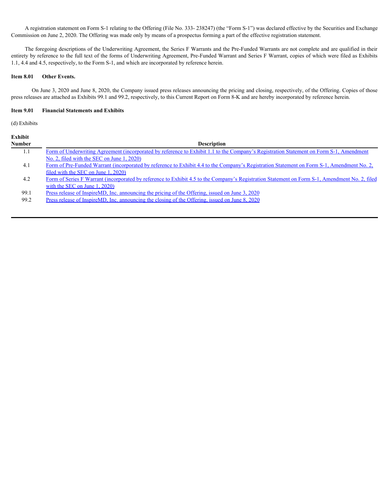A registration statement on Form S-1 relating to the Offering (File No. 333- 238247) (the "Form S-1") was declared effective by the Securities and Exchange Commission on June 2, 2020. The Offering was made only by means of a prospectus forming a part of the effective registration statement.

The foregoing descriptions of the Underwriting Agreement, the Series F Warrants and the Pre-Funded Warrants are not complete and are qualified in their entirety by reference to the full text of the forms of Underwriting Agreement, Pre-Funded Warrant and Series F Warrant, copies of which were filed as Exhibits 1.1, 4.4 and 4.5, respectively, to the Form S-1, and which are incorporated by reference herein.

#### **Item 8.01 Other Events.**

On June 3, 2020 and June 8, 2020, the Company issued press releases announcing the pricing and closing, respectively, of the Offering. Copies of those press releases are attached as Exhibits 99.1 and 99.2, respectively, to this Current Report on Form 8-K and are hereby incorporated by reference herein.

#### **Item 9.01 Financial Statements and Exhibits**

(d) Exhibits

| <b>Exhibit</b> |                                                                                                                                                |
|----------------|------------------------------------------------------------------------------------------------------------------------------------------------|
| <b>Number</b>  | <b>Description</b>                                                                                                                             |
| 1.1            | Form of Underwriting Agreement (incorporated by reference to Exhibit 1.1 to the Company's Registration Statement on Form S-1, Amendment        |
|                | No. 2, filed with the SEC on June 1, 2020)                                                                                                     |
| 4.1            | Form of Pre-Funded Warrant (incorporated by reference to Exhibit 4.4 to the Company's Registration Statement on Form S-1, Amendment No. 2,     |
|                | filed with the SEC on June 1, 2020)                                                                                                            |
| 4.2            | Form of Series F Warrant (incorporated by reference to Exhibit 4.5 to the Company's Registration Statement on Form S-1, Amendment No. 2, filed |
|                | with the SEC on June $1, 2020$                                                                                                                 |
| 99.1           | <u>Press release of InspireMD, Inc. announcing the pricing of the Offering, issued on June 3, 2020</u>                                         |
| 99.2           | <u>Press release of InspireMD, Inc. announcing the closing of the Offering, issued on June 8, 2020</u>                                         |
|                |                                                                                                                                                |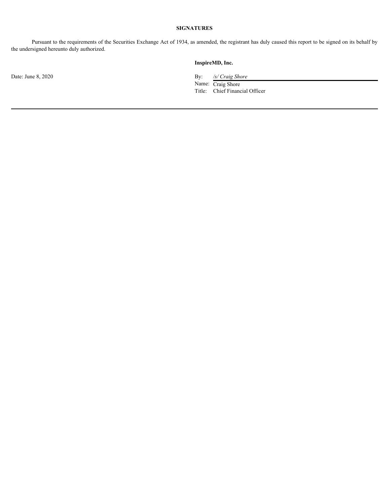## **SIGNATURES**

Pursuant to the requirements of the Securities Exchange Act of 1934, as amended, the registrant has duly caused this report to be signed on its behalf by the undersigned hereunto duly authorized.

#### **InspireMD, Inc.**

Date: June 8, 2020 **By:** */s/ Craig Shore* **By:** */s/ Craig Shore* 

Name: Craig Shore Title: Chief Financial Officer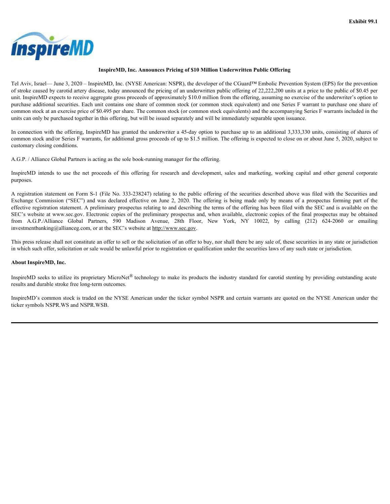<span id="page-5-0"></span>

### **InspireMD, Inc. Announces Pricing of \$10 Million Underwritten Public Offering**

Tel Aviv, Israel— June 3, 2020 – InspireMD, Inc. (NYSE American: NSPR), the developer of the CGuard™ Embolic Prevention System (EPS) for the prevention of stroke caused by carotid artery disease, today announced the pricing of an underwritten public offering of 22,222,200 units at a price to the public of \$0.45 per unit. InspireMD expects to receive aggregate gross proceeds of approximately \$10.0 million from the offering, assuming no exercise of the underwriter's option to purchase additional securities. Each unit contains one share of common stock (or common stock equivalent) and one Series F warrant to purchase one share of common stock at an exercise price of \$0.495 per share. The common stock (or common stock equivalents) and the accompanying Series F warrants included in the units can only be purchased together in this offering, but will be issued separately and will be immediately separable upon issuance. **IMSPO IF COMO**<br>
InspireMD. Inc. Amountes Pricing of \$10 Million Underwritten Public Offering<br>
Tel Aviv. Innel- June 3, 2020 - ImpireMD. Inc. (NYSE Amorious NSPR), the developer of the Count<sup>ary</sup> Embolis Prevention System

In connection with the offering, InspireMD has granted the underwriter a 45-day option to purchase up to an additional 3,333,330 units, consisting of shares of common stock and/or Series F warrants, for additional gross proceeds of up to \$1.5 million. The offering is expected to close on or about June 5, 2020, subject to customary closing conditions.

A.G.P. / Alliance Global Partners is acting as the sole book-running manager for the offering.

purposes.

A registration statement on Form S-1 (File No. 333-238247) relating to the public offering of the securities described above was filed with the Securities and **Example 18:00**<br>
Tel Aviv, Lonel—Jone 3, 2000 - Impies MD. Inc. Announces Pricing of 50 Millon Underwritten Public Offering<br>
Tel Aviv, Lonel—Jone 3, 2000 - Impies MD. Inc. Announces Pricing of 50 Millon Underwritten Publi effective registration statement. A preliminary prospectus relating to and describing the terms of the offering has been filed with the SEC and is available on the SEC's website at www.sec.gov. Electronic copies of the preliminary prospectus and, when available, electronic copies of the final prospectus may be obtained **EXAMPLE EXAMPLE EXAMPLE SET ALLIANCES** (FROM ALL INTERFROM TEMPERATURE IN THE ALL INCOLL INTERFROM CONTROLL INCOLL INTERFROM CONTROLL INCOLL INTERFROM CONTROLL INCOLL INTERFROM CONTROLL INCOLL INCOLL INCOLL INCOLL INCOLL investmentbanking@allianceg.com, or at the SEC's website at http://www.sec.gov.

This press release shall not constitute an offer to sell or the solicitation of an offer to buy, nor shall there be any sale of, these securities in any state or jurisdiction in which such offer, solicitation or sale would be unlawful prior to registration or qualification under the securities laws of any such state or jurisdiction.

#### **About InspireMD, Inc.**

InspireMD seeks to utilize its proprietary MicroNet<sup>®</sup> technology to make its products the industry standard for carotid stenting by providing outstanding acute results and durable stroke free long-term outcomes.

InspireMD's common stock is traded on the NYSE American under the ticker symbol NSPR and certain warrants are quoted on the NYSE American under the ticker symbols NSPR.WS and NSPR.WSB.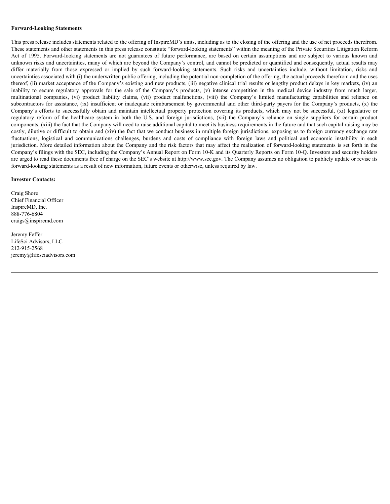#### **Forward-Looking Statements**

This press release includes statements related to the offering of InspireMD's units, including as to the closing of the offering and the use of net proceeds therefrom. These statements and other statements in this press release constitute "forward-looking statements" within the meaning of the Private Securities Litigation Reform Forward-Looking Statements<br>This press releases includes statements related to the offering of InspireMD's units, including as to the closing of the offering and the use of net proceeds therefrom<br>These statements and other unknown risks and uncertainties, many of which are beyond the Company's control, and cannot be predicted or quantified and consequently, actual results may Forward-Looking Statements<br>This press release includes statements related to the offering of InspireMD's units, including as to the closing of the offering and the use of net proceeds therefrom.<br>These statements and other uncertainties associated with (i) the underwritten public offering, including the potential non-completion of the offering, the actual proceeds therefrom and the uses thereof, (ii) market acceptance of the Company's existing and new products, (iii) negative clinical trial results or lengthy product delays in key markets, (iv) an Forward-Looking Statements<br>This press release includes statements related to the offering of InspireMD's units, including as to the closing of the offering and the use of net proceeds therefrom.<br>This press taleaments in th Forward-Looking Statements<br>This press releases includes statements related to the offering of InspireMD's units, including as to the closing of the offering and the use of net proceeds thereform.<br>These statements and other **Forward-Looking Statements**<br>This press release includes statements related to the offering of InspireMD's units, including as to the closing of the offering and the use of net proceeds thereform.<br>These statements and othe **Forward-I ooking Statements**<br>This press release includes statements related to the offering of InspireMD's units, including as to the closing of the offering and the use of net proceeds sherefrom.<br>These statements ind oth **Forward-Looking Statements**<br>This press release includes statements related to the offering of InspireMD's units, including as to the closing of the offering and the use of net proceeds thereform.<br>These statements and oth components, (xiii) the fact that the Company will need to raise additional capital to meet its business requirements in the future and that such capital raising may be costly, dilutive or difficult to obtain and (xiv) the fact that we conduct business in multiple foreign jurisdictions, exposing us to foreign currency exchange rate **Forward-Looking Statements**<br>This press release includes statements related to the offering of InspireleMD's units, including as to the closing of the offering and the use of net proceeds thereform.<br>This press release and jurisdiction. More detailed information about the Company and the risk factors that may affect the realization of forward-looking statements is set forth in the Company's filings with the SEC, including the Company's Annual Report on Form 10-K and its Quarterly Reports on Form 10-Q. Investors and security holders are urged to read these documents free of charge on the SEC's website at http://www.sec.gov. The Company assumes no obligation to publicly update or revise its forward-looking statements as a result of new information, future events or otherwise, unless required by law.

#### **Investor Contacts:**

Craig Shore Chief Financial Officer InspireMD, Inc. 888-776-6804 craigs@inspiremd.com

Jeremy Feffer LifeSci Advisors, LLC 212-915-2568 jeremy@lifesciadvisors.com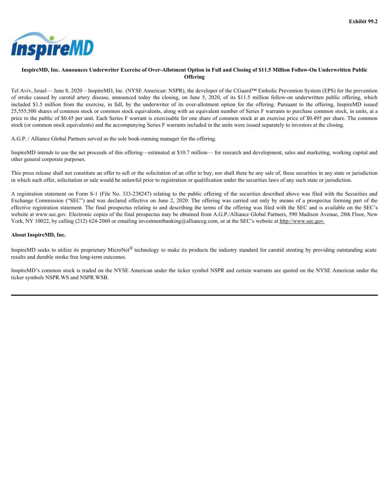<span id="page-7-0"></span>

### InspireMD, Inc. Announces Underwriter Exercise of Over-Allotment Option in Full and Closing of \$11.5 Million Follow-On Underwritten Public **Offering**

Tel Aviv, Israel— June 8, 2020 – InspireMD, Inc. (NYSE American: NSPR), the developer of the CGuard™ Embolic Prevention System (EPS) for the prevention **EXAMPLE CONDUMERTY CONDUMERTY CONDUMERTY CONTROLL INCORPORATION CONTROLL INCORPORATION CONTROLL INCORPORATION CONTROLL INCORPORATION CONTROLL INCORPORATION CONTROLL INCORPORATION CONTROLL INCORPORATION (FIRS) for the prev included S1.5 million exercise of Over-Allotment Option in Full and Closing of \$11.5 Million Follow-On Underwritten Public<br>
Tel Aviv, Israel—Inne 8, 2020 – InspireMD, Inc. (NYSE American: NSPR), the developer of the CGuar** 25,555,500 shares of common stock or common stock equivalents, along with an equivalent number of Series F warrants to purchase common stock, in units, at a price to the public of \$0.45 per unit. Each Series F warrant is exercisable for one share of common stock at an exercise price of \$0.495 per share. The common stock (or common stock equivalents) and the accompanying Series F warrants included in the units were issued separately to investors at the closing. **Exchange Commission Commission Commission Commission Commission Commission Commission Commission Commission Commission Commission Commission Commission Commission Commission Commission Commission Commission Commission Co** 

A.G.P. / Alliance Global Partners served as the sole book-running manager for the offering.

InspireMD intends to use the net proceeds of this offering—estimated at \$10.7 million— for research and development, sales and marketing, working capital and other general corporate purposes.

This press release shall not constitute an offer to sell or the solicitation of an offer to buy, nor shall there be any sale of, these securities in any state or jurisdiction in which such offer, solicitation or sale would be unlawful prior to registration or qualification under the securities laws of any such state or jurisdiction.

A registration statement on Form S-1 (File No. 333-238247) relating to the public offering of the securities described above was filed with the Securities and effective registration statement. The final prospectus relating to and describing the terms of the offering was filed with the SEC and is available on the SEC's website at www.sec.gov. Electronic copies of the final prospectus may be obtained from A.G.P./Alliance Global Partners, 590 Madison Avenue, 28th Floor, New York, NY 10022, by calling (212) 624-2060 or emailing investmentbanking@allianceg.com, or at the SEC's website at http://www.sec.gov.

### **About InspireMD, Inc.**

InspireMD seeks to utilize its proprietary MicroNet<sup>®</sup> technology to make its products the industry standard for carotid stenting by providing outstanding acute results and durable stroke free long-term outcomes.

InspireMD's common stock is traded on the NYSE American under the ticker symbol NSPR and certain warrants are quoted on the NYSE American under the ticker symbols NSPR.WS and NSPR.WSB.